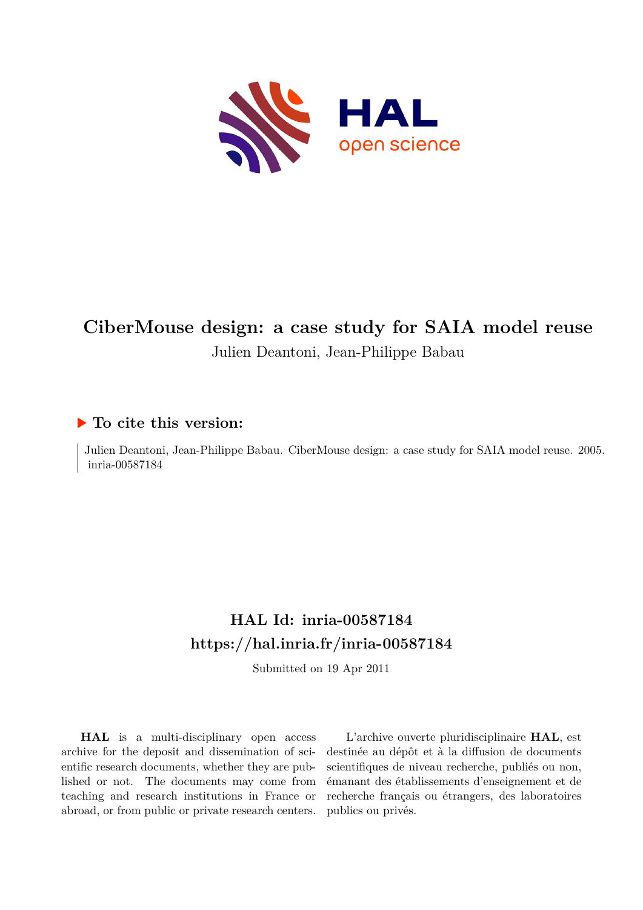

# **CiberMouse design: a case study for SAIA model reuse** Julien Deantoni, Jean-Philippe Babau

# **To cite this version:**

Julien Deantoni, Jean-Philippe Babau. CiberMouse design: a case study for SAIA model reuse. 2005. inria-00587184

# **HAL Id: inria-00587184 <https://hal.inria.fr/inria-00587184>**

Submitted on 19 Apr 2011

**HAL** is a multi-disciplinary open access archive for the deposit and dissemination of scientific research documents, whether they are published or not. The documents may come from teaching and research institutions in France or abroad, or from public or private research centers.

L'archive ouverte pluridisciplinaire **HAL**, est destinée au dépôt et à la diffusion de documents scientifiques de niveau recherche, publiés ou non, émanant des établissements d'enseignement et de recherche français ou étrangers, des laboratoires publics ou privés.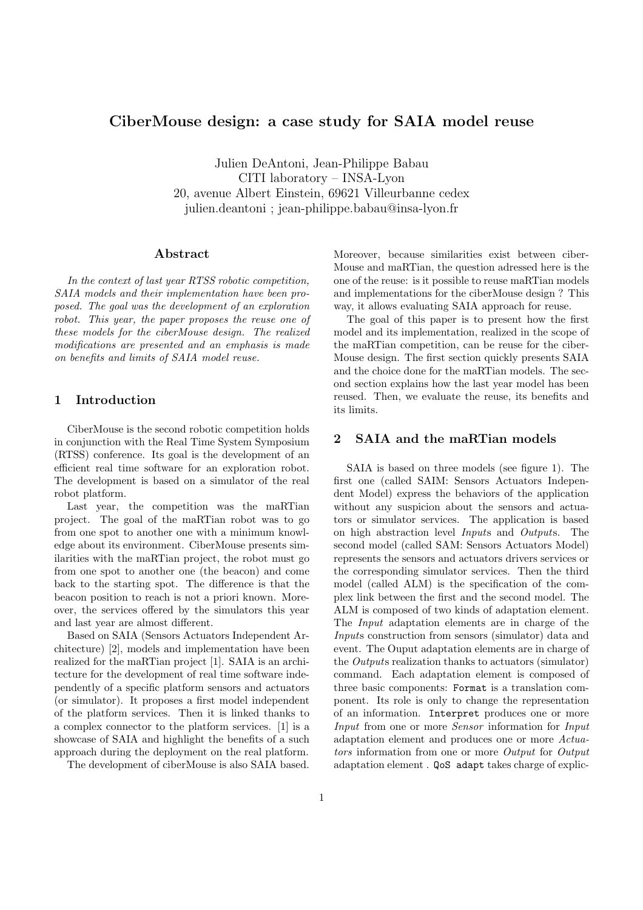# CiberMouse design: a case study for SAIA model reuse

Julien DeAntoni, Jean-Philippe Babau CITI laboratory – INSA-Lyon 20, avenue Albert Einstein, 69621 Villeurbanne cedex julien.deantoni ; jean-philippe.babau@insa-lyon.fr

## Abstract

In the context of last year RTSS robotic competition, SAIA models and their implementation have been proposed. The goal was the development of an exploration robot. This year, the paper proposes the reuse one of these models for the ciberMouse design. The realized modifications are presented and an emphasis is made on benefits and limits of SAIA model reuse.

# 1 Introduction

CiberMouse is the second robotic competition holds in conjunction with the Real Time System Symposium (RTSS) conference. Its goal is the development of an efficient real time software for an exploration robot. The development is based on a simulator of the real robot platform.

Last year, the competition was the maRTian project. The goal of the maRTian robot was to go from one spot to another one with a minimum knowledge about its environment. CiberMouse presents similarities with the maRTian project, the robot must go from one spot to another one (the beacon) and come back to the starting spot. The difference is that the beacon position to reach is not a priori known. Moreover, the services offered by the simulators this year and last year are almost different.

Based on SAIA (Sensors Actuators Independent Architecture) [2], models and implementation have been realized for the maRTian project [1]. SAIA is an architecture for the development of real time software independently of a specific platform sensors and actuators (or simulator). It proposes a first model independent of the platform services. Then it is linked thanks to a complex connector to the platform services. [1] is a showcase of SAIA and highlight the benefits of a such approach during the deployment on the real platform.

The development of ciberMouse is also SAIA based.

Moreover, because similarities exist between ciber-Mouse and maRTian, the question adressed here is the one of the reuse: is it possible to reuse maRTian models and implementations for the ciberMouse design ? This way, it allows evaluating SAIA approach for reuse.

The goal of this paper is to present how the first model and its implementation, realized in the scope of the maRTian competition, can be reuse for the ciber-Mouse design. The first section quickly presents SAIA and the choice done for the maRTian models. The second section explains how the last year model has been reused. Then, we evaluate the reuse, its benefits and its limits.

## 2 SAIA and the maRTian models

SAIA is based on three models (see figure 1). The first one (called SAIM: Sensors Actuators Independent Model) express the behaviors of the application without any suspicion about the sensors and actuators or simulator services. The application is based on high abstraction level Inputs and Outputs. The second model (called SAM: Sensors Actuators Model) represents the sensors and actuators drivers services or the corresponding simulator services. Then the third model (called ALM) is the specification of the complex link between the first and the second model. The ALM is composed of two kinds of adaptation element. The Input adaptation elements are in charge of the Inputs construction from sensors (simulator) data and event. The Ouput adaptation elements are in charge of the Outputs realization thanks to actuators (simulator) command. Each adaptation element is composed of three basic components: Format is a translation component. Its role is only to change the representation of an information. Interpret produces one or more Input from one or more Sensor information for Input adaptation element and produces one or more Actuators information from one or more Output for Output adaptation element . QoS adapt takes charge of explic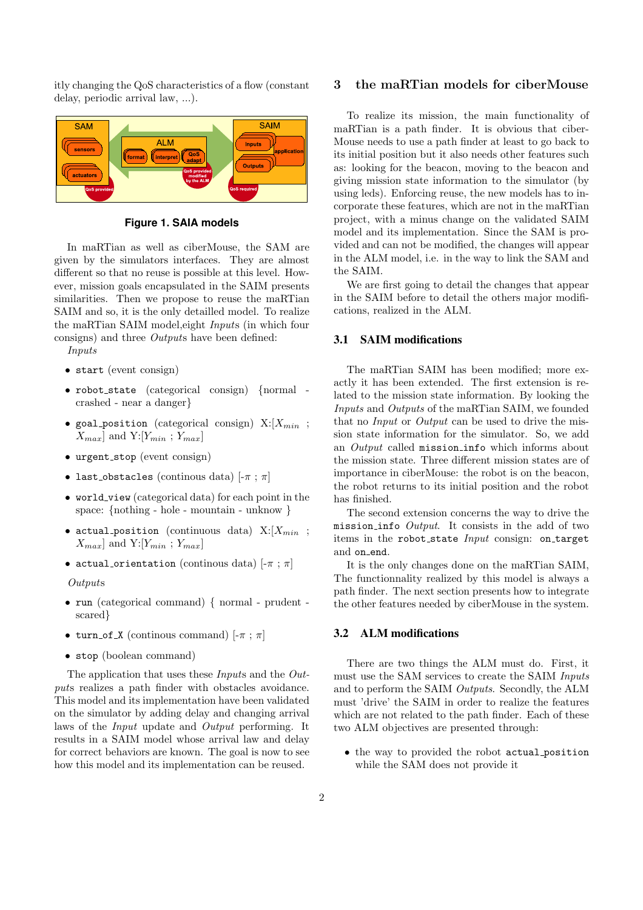itly changing the QoS characteristics of a flow (constant delay, periodic arrival law, ...).



**Figure 1. SAIA models**

In maRTian as well as ciberMouse, the SAM are given by the simulators interfaces. They are almost different so that no reuse is possible at this level. However, mission goals encapsulated in the SAIM presents similarities. Then we propose to reuse the maRTian SAIM and so, it is the only detailled model. To realize the maRTian SAIM model,eight Inputs (in which four consigns) and three Outputs have been defined:

- Inputs
- start (event consign)
- robot state (categorical consign) {normal crashed - near a danger}
- goal position (categorical consign)  $X: [X_{min}]$ ;  $X_{max}$  and Y:  $[Y_{min}$ ;  $Y_{max}]$
- $\bullet$  urgent\_stop (event consign)
- last obstacles (continous data)  $[-\pi; \pi]$
- world\_view (categorical data) for each point in the space: {nothing - hole - mountain - unknow }
- actual position (continuous data)  $X: [X_{min}]$ ;  $X_{max}$  and Y:  $[Y_{min}$ ;  $Y_{max}]$
- actual orientation (continous data)  $[-\pi : \pi]$

#### Outputs

- run (categorical command) { normal prudent scared}
- turn\_of\_X (continous command)  $[-\pi : \pi]$
- stop (boolean command)

The application that uses these Inputs and the Outputs realizes a path finder with obstacles avoidance. This model and its implementation have been validated on the simulator by adding delay and changing arrival laws of the Input update and Output performing. It results in a SAIM model whose arrival law and delay for correct behaviors are known. The goal is now to see how this model and its implementation can be reused.

## 3 the maRTian models for ciberMouse

To realize its mission, the main functionality of maRTian is a path finder. It is obvious that ciber-Mouse needs to use a path finder at least to go back to its initial position but it also needs other features such as: looking for the beacon, moving to the beacon and giving mission state information to the simulator (by using leds). Enforcing reuse, the new models has to incorporate these features, which are not in the maRTian project, with a minus change on the validated SAIM model and its implementation. Since the SAM is provided and can not be modified, the changes will appear in the ALM model, i.e. in the way to link the SAM and the SAIM.

We are first going to detail the changes that appear in the SAIM before to detail the others major modifications, realized in the ALM.

# 3.1 SAIM modifications

The maRTian SAIM has been modified; more exactly it has been extended. The first extension is related to the mission state information. By looking the Inputs and Outputs of the maRTian SAIM, we founded that no *Input* or *Output* can be used to drive the mission state information for the simulator. So, we add an Output called mission info which informs about the mission state. Three different mission states are of importance in ciberMouse: the robot is on the beacon, the robot returns to its initial position and the robot has finished.

The second extension concerns the way to drive the mission info  $Output$ . It consists in the add of two items in the robot\_state *Input* consign: on\_target and on end.

It is the only changes done on the maRTian SAIM, The functionnality realized by this model is always a path finder. The next section presents how to integrate the other features needed by ciberMouse in the system.

# 3.2 ALM modifications

There are two things the ALM must do. First, it must use the SAM services to create the SAIM Inputs and to perform the SAIM Outputs. Secondly, the ALM must 'drive' the SAIM in order to realize the features which are not related to the path finder. Each of these two ALM objectives are presented through:

• the way to provided the robot actual position while the SAM does not provide it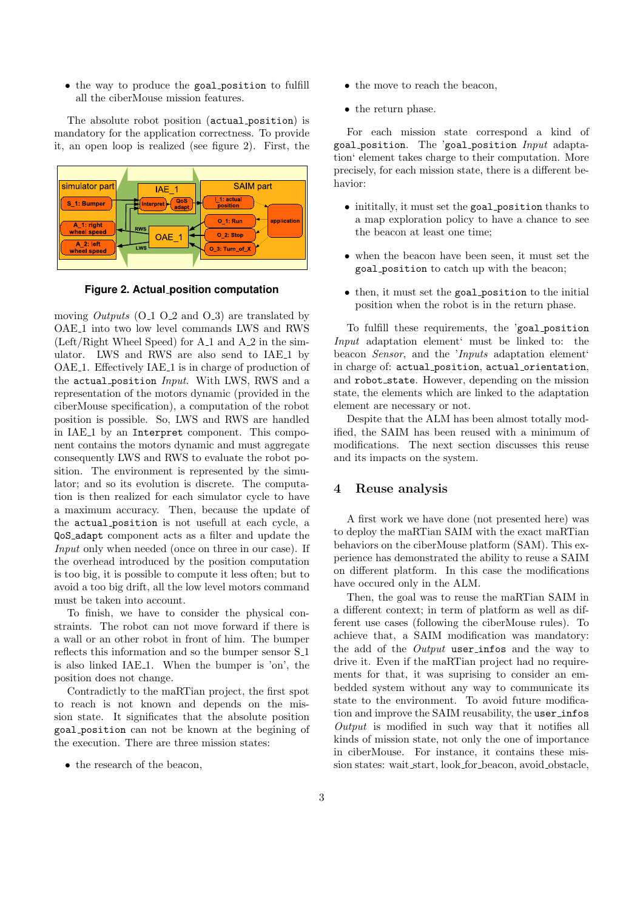• the way to produce the goal position to fulfill all the ciberMouse mission features.

The absolute robot position (actual position) is mandatory for the application correctness. To provide it, an open loop is realized (see figure 2). First, the



**Figure 2. Actual position computation**

moving *Outputs*  $(O_1 O_2)$  and  $(O_3)$  are translated by OAE<sub>-1</sub> into two low level commands LWS and RWS  $(Left/Right$  Wheel Speed) for A<sub>-1</sub> and A<sub>-2</sub> in the simulator. LWS and RWS are also send to IAE<sub>1</sub> by OAE<sub>1</sub>. Effectively IAE<sub>1</sub> is in charge of production of the actual position Input. With LWS, RWS and a representation of the motors dynamic (provided in the ciberMouse specification), a computation of the robot position is possible. So, LWS and RWS are handled in IAE<sub>-1</sub> by an Interpret component. This component contains the motors dynamic and must aggregate consequently LWS and RWS to evaluate the robot position. The environment is represented by the simulator; and so its evolution is discrete. The computation is then realized for each simulator cycle to have a maximum accuracy. Then, because the update of the actual position is not usefull at each cycle, a QoS adapt component acts as a filter and update the Input only when needed (once on three in our case). If the overhead introduced by the position computation is too big, it is possible to compute it less often; but to avoid a too big drift, all the low level motors command must be taken into account.

To finish, we have to consider the physical constraints. The robot can not move forward if there is a wall or an other robot in front of him. The bumper reflects this information and so the bumper sensor  $S_1$ is also linked IAE<sub>1</sub>. When the bumper is 'on', the position does not change.

Contradictly to the maRTian project, the first spot to reach is not known and depends on the mission state. It significates that the absolute position goal position can not be known at the begining of the execution. There are three mission states:

• the research of the beacon.

- the move to reach the beacon,
- the return phase.

For each mission state correspond a kind of goal position. The 'goal position  $Input$  adaptation' element takes charge to their computation. More precisely, for each mission state, there is a different behavior:

- inititally, it must set the goal position thanks to a map exploration policy to have a chance to see the beacon at least one time;
- when the beacon have been seen, it must set the goal position to catch up with the beacon;
- then, it must set the goal position to the initial position when the robot is in the return phase.

To fulfill these requirements, the 'goal position Input adaptation element' must be linked to: the beacon Sensor, and the 'Inputs adaptation element' in charge of: actual position, actual orientation, and robot state. However, depending on the mission state, the elements which are linked to the adaptation element are necessary or not.

Despite that the ALM has been almost totally modified, the SAIM has been reused with a minimum of modifications. The next section discusses this reuse and its impacts on the system.

# 4 Reuse analysis

A first work we have done (not presented here) was to deploy the maRTian SAIM with the exact maRTian behaviors on the ciberMouse platform (SAM). This experience has demonstrated the ability to reuse a SAIM on different platform. In this case the modifications have occured only in the ALM.

Then, the goal was to reuse the maRTian SAIM in a different context; in term of platform as well as different use cases (following the ciberMouse rules). To achieve that, a SAIM modification was mandatory: the add of the *Output* user\_infos and the way to drive it. Even if the maRTian project had no requirements for that, it was suprising to consider an embedded system without any way to communicate its state to the environment. To avoid future modification and improve the SAIM reusability, the user\_infos Output is modified in such way that it notifies all kinds of mission state, not only the one of importance in ciberMouse. For instance, it contains these mission states: wait start, look for beacon, avoid obstacle,